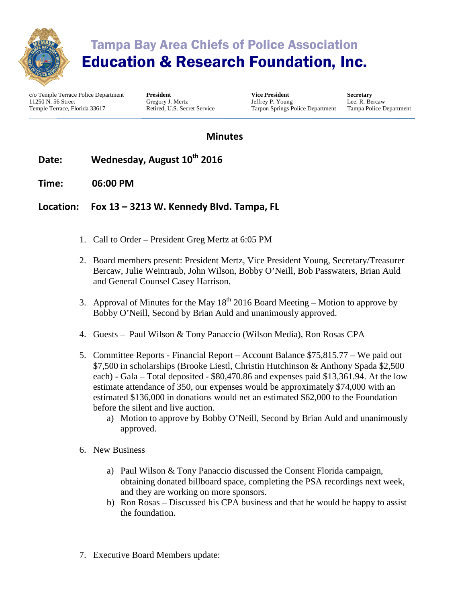

# Tampa Bay Area Chiefs of Police Association Education & Research Foundation, Inc.

c/o Temple Terrace Police Department 11250 N. 56 Street Temple Terrace, Florida 33617

**President** Gregory J. Mertz Retired, U.S. Secret Service

**Vice President** Jeffrey P. Young Tarpon Springs Police Department

**Secretary** Lee. R. Bercaw Tampa Police Department

### **Minutes**

### Date: Wednesday, August 10<sup>th</sup> 2016

**Time: 06:00 PM**

#### **Location: Fox 13 – 3213 W. Kennedy Blvd. Tampa, FL**

- 1. Call to Order President Greg Mertz at 6:05 PM
- 2. Board members present: President Mertz, Vice President Young, Secretary/Treasurer Bercaw, Julie Weintraub, John Wilson, Bobby O'Neill, Bob Passwaters, Brian Auld and General Counsel Casey Harrison.
- 3. Approval of Minutes for the May  $18<sup>th</sup>$  2016 Board Meeting Motion to approve by Bobby O'Neill, Second by Brian Auld and unanimously approved.
- 4. Guests Paul Wilson & Tony Panaccio (Wilson Media), Ron Rosas CPA
- 5. Committee Reports Financial Report Account Balance \$75,815.77 We paid out \$7,500 in scholarships (Brooke Liestl, Christin Hutchinson & Anthony Spada \$2,500 each) - Gala – Total deposited - \$80,470.86 and expenses paid \$13,361.94. At the low estimate attendance of 350, our expenses would be approximately \$74,000 with an estimated \$136,000 in donations would net an estimated \$62,000 to the Foundation before the silent and live auction.
	- a) Motion to approve by Bobby O'Neill, Second by Brian Auld and unanimously approved.
- 6. New Business
	- a) Paul Wilson & Tony Panaccio discussed the Consent Florida campaign, obtaining donated billboard space, completing the PSA recordings next week, and they are working on more sponsors.
	- b) Ron Rosas Discussed his CPA business and that he would be happy to assist the foundation.
- 7. Executive Board Members update: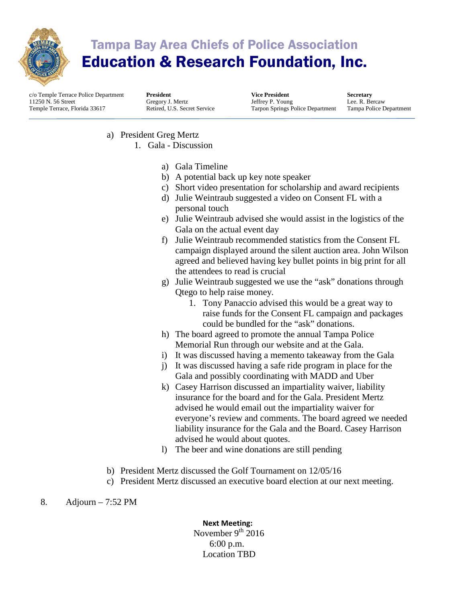

# Tampa Bay Area Chiefs of Police Association Education & Research Foundation, Inc.

c/o Temple Terrace Police Department 11250 N. 56 Street Temple Terrace, Florida 33617

**President** Gregory J. Mertz Retired, U.S. Secret Service

**Vice President** Jeffrey P. Young Tarpon Springs Police Department

**Secretary** Lee. R. Bercaw Tampa Police Department

- a) President Greg Mertz 1. Gala - Discussion
	- a) Gala Timeline
	- b) A potential back up key note speaker
	- c) Short video presentation for scholarship and award recipients
	- d) Julie Weintraub suggested a video on Consent FL with a personal touch
	- e) Julie Weintraub advised she would assist in the logistics of the Gala on the actual event day
	- f) Julie Weintraub recommended statistics from the Consent FL campaign displayed around the silent auction area. John Wilson agreed and believed having key bullet points in big print for all the attendees to read is crucial
	- g) Julie Weintraub suggested we use the "ask" donations through Qtego to help raise money.
		- 1. Tony Panaccio advised this would be a great way to raise funds for the Consent FL campaign and packages could be bundled for the "ask" donations.
	- h) The board agreed to promote the annual Tampa Police Memorial Run through our website and at the Gala.
	- i) It was discussed having a memento takeaway from the Gala
	- j) It was discussed having a safe ride program in place for the Gala and possibly coordinating with MADD and Uber
	- k) Casey Harrison discussed an impartiality waiver, liability insurance for the board and for the Gala. President Mertz advised he would email out the impartiality waiver for everyone's review and comments. The board agreed we needed liability insurance for the Gala and the Board. Casey Harrison advised he would about quotes.
	- l) The beer and wine donations are still pending
- b) President Mertz discussed the Golf Tournament on 12/05/16
- c) President Mertz discussed an executive board election at our next meeting.

8. Adjourn – 7:52 PM

**Next Meeting:** November  $9^{th}$  2016

#### 6:00 p.m. Location TBD